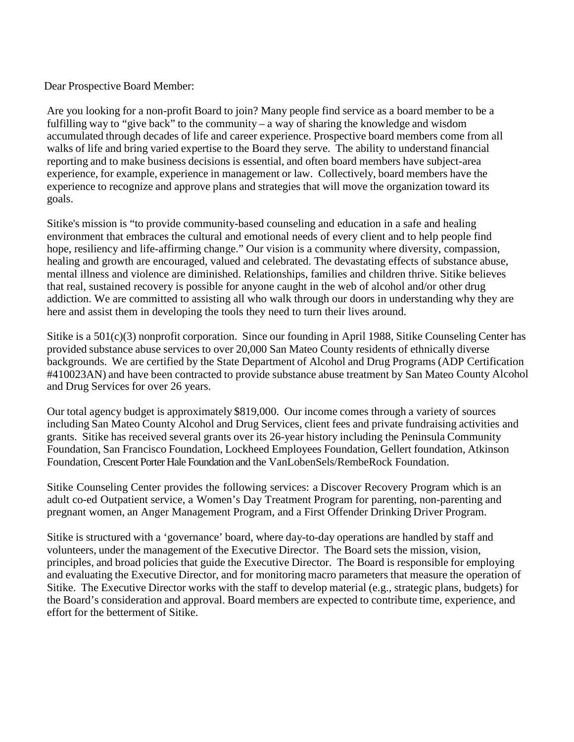Dear Prospective Board Member:

Are you looking for a non-profit Board to join? Many people find service as a board member to be a fulfilling way to "give back" to the community – a way of sharing the knowledge and wisdom accumulated through decades of life and career experience. Prospective board members come from all walks of life and bring varied expertise to the Board they serve. The ability to understand financial reporting and to make business decisions is essential, and often board members have subject-area experience, for example, experience in management or law. Collectively, board members have the experience to recognize and approve plans and strategies that will move the organization toward its goals.

Sitike's mission is "to provide community-based counseling and education in a safe and healing environment that embraces the cultural and emotional needs of every client and to help people find hope, resiliency and life-affirming change." Our vision is a community where diversity, compassion, healing and growth are encouraged, valued and celebrated. The devastating effects of substance abuse, mental illness and violence are diminished. Relationships, families and children thrive. Sitike believes that real, sustained recovery is possible for anyone caught in the web of alcohol and/or other drug addiction. We are committed to assisting all who walk through our doors in understanding why they are here and assist them in developing the tools they need to turn their lives around.

Sitike is a 501(c)(3) nonprofit corporation. Since our founding in April 1988, Sitike Counseling Center has provided substance abuse services to over 20,000 San Mateo County residents of ethnically diverse backgrounds. We are certified by the State Department of Alcohol and Drug Programs (ADP Certification #410023AN) and have been contracted to provide substance abuse treatment by San Mateo County Alcohol and Drug Services for over 26 years.

Our total agency budget is approximately \$819,000. Our income comes through a variety of sources including San Mateo County Alcohol and Drug Services, client fees and private fundraising activities and grants. Sitike has received several grants over its 26-year history including the Peninsula Community Foundation, San Francisco Foundation, Lockheed Employees Foundation, Gellert foundation, Atkinson Foundation, Crescent Porter Hale Foundation and the VanLobenSels/RembeRock Foundation.

Sitike Counseling Center provides the following services: a Discover Recovery Program which is an adult co-ed Outpatient service, a Women's Day Treatment Program for parenting, non-parenting and pregnant women, an Anger Management Program, and a First Offender Drinking Driver Program.

Sitike is structured with a 'governance' board, where day-to-day operations are handled by staff and volunteers, under the management of the Executive Director. The Board sets the mission, vision, principles, and broad policies that guide the Executive Director. The Board is responsible for employing and evaluating the Executive Director, and for monitoring macro parameters that measure the operation of Sitike. The Executive Director works with the staff to develop material (e.g., strategic plans, budgets) for the Board's consideration and approval. Board members are expected to contribute time, experience, and effort for the betterment of Sitike.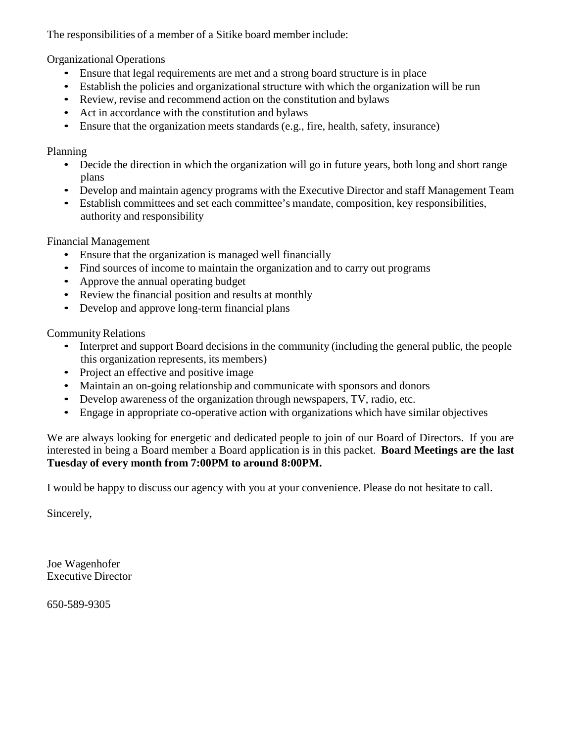The responsibilities of a member of a Sitike board member include:

Organizational Operations

- Ensure that legal requirements are met and a strong board structure is in place
- Establish the policies and organizational structure with which the organization will be run
- Review, revise and recommend action on the constitution and bylaws
- Act in accordance with the constitution and bylaws
- Ensure that the organization meets standards (e.g., fire, health, safety, insurance)

## Planning

- Decide the direction in which the organization will go in future years, both long and short range plans
- Develop and maintain agency programs with the Executive Director and staff Management Team
- Establish committees and set each committee's mandate, composition, key responsibilities, authority and responsibility

Financial Management

- Ensure that the organization is managed well financially
- Find sources of income to maintain the organization and to carry out programs
- Approve the annual operating budget
- Review the financial position and results at monthly
- Develop and approve long-term financial plans

Community Relations

- Interpret and support Board decisions in the community (including the general public, the people this organization represents, its members)
- Project an effective and positive image
- Maintain an on-going relationship and communicate with sponsors and donors
- Develop awareness of the organization through newspapers, TV, radio, etc.
- Engage in appropriate co-operative action with organizations which have similar objectives

We are always looking for energetic and dedicated people to join of our Board of Directors. If you are interested in being a Board member a Board application is in this packet. **Board Meetings are the last Tuesday of every month from 7:00PM to around 8:00PM.**

I would be happy to discuss our agency with you at your convenience. Please do not hesitate to call.

Sincerely,

Joe Wagenhofer Executive Director

650-589-9305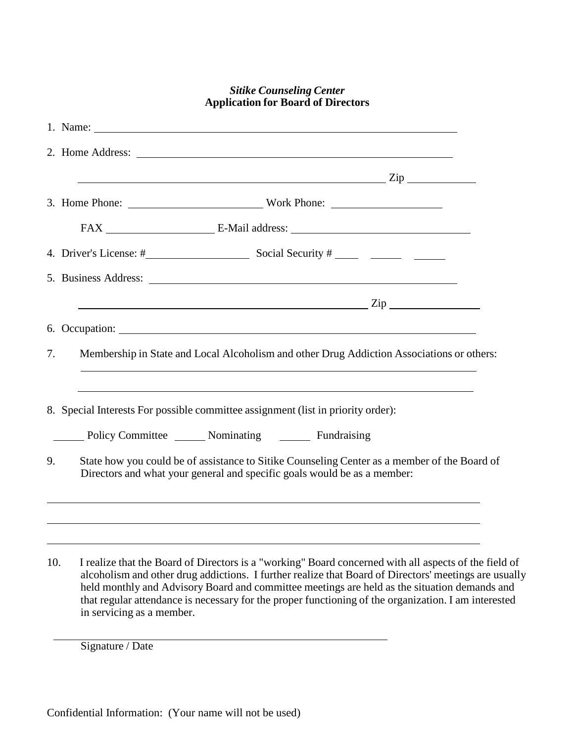|     | <b>Application for Board of Directors</b>                                                                                                                                                                                                                                                                           |
|-----|---------------------------------------------------------------------------------------------------------------------------------------------------------------------------------------------------------------------------------------------------------------------------------------------------------------------|
|     | 1. Name:                                                                                                                                                                                                                                                                                                            |
|     |                                                                                                                                                                                                                                                                                                                     |
|     | $\frac{1}{2}$ $\frac{1}{2}$ $\frac{1}{2}$ $\frac{1}{2}$ $\frac{1}{2}$ $\frac{1}{2}$ $\frac{1}{2}$ $\frac{1}{2}$ $\frac{1}{2}$ $\frac{1}{2}$ $\frac{1}{2}$ $\frac{1}{2}$ $\frac{1}{2}$ $\frac{1}{2}$ $\frac{1}{2}$ $\frac{1}{2}$ $\frac{1}{2}$ $\frac{1}{2}$ $\frac{1}{2}$ $\frac{1}{2}$ $\frac{1}{2}$ $\frac{1}{2}$ |
|     | 3. Home Phone: Work Phone: Work Phone:                                                                                                                                                                                                                                                                              |
|     |                                                                                                                                                                                                                                                                                                                     |
|     |                                                                                                                                                                                                                                                                                                                     |
|     |                                                                                                                                                                                                                                                                                                                     |
|     | $\mathbb{Z}ip$ $\overline{\phantom{a}}$                                                                                                                                                                                                                                                                             |
|     |                                                                                                                                                                                                                                                                                                                     |
| 7.  | Membership in State and Local Alcoholism and other Drug Addiction Associations or others:                                                                                                                                                                                                                           |
|     | ,我们也不会有什么。""我们的人,我们也不会有什么?""我们的人,我们也不会有什么?""我们的人,我们也不会有什么?""我们的人,我们也不会有什么?""我们的人                                                                                                                                                                                                                                    |
|     | 8. Special Interests For possible committee assignment (list in priority order):                                                                                                                                                                                                                                    |
|     | Policy Committee Mominating Fundraising                                                                                                                                                                                                                                                                             |
| 9.  | State how you could be of assistance to Sitike Counseling Center as a member of the Board of<br>Directors and what your general and specific goals would be as a member:                                                                                                                                            |
|     |                                                                                                                                                                                                                                                                                                                     |
|     |                                                                                                                                                                                                                                                                                                                     |
| 10. | ,我们也不会有什么。""我们的人,我们也不会有什么?""我们的人,我们也不会有什么?""我们的人,我们也不会有什么?""我们的人,我们也不会有什么?""我们的人<br>I realize that the Board of Directors is a "working" Board concerned with all aspects of the field of                                                                                                                           |

*Sitike Counseling Center*

alcoholism and other drug addictions. I further realize that Board of Directors' meetings are usually held monthly and Advisory Board and committee meetings are held as the situation demands and that regular attendance is necessary for the proper functioning of the organization. I am interested in servicing as a member.

Signature / Date